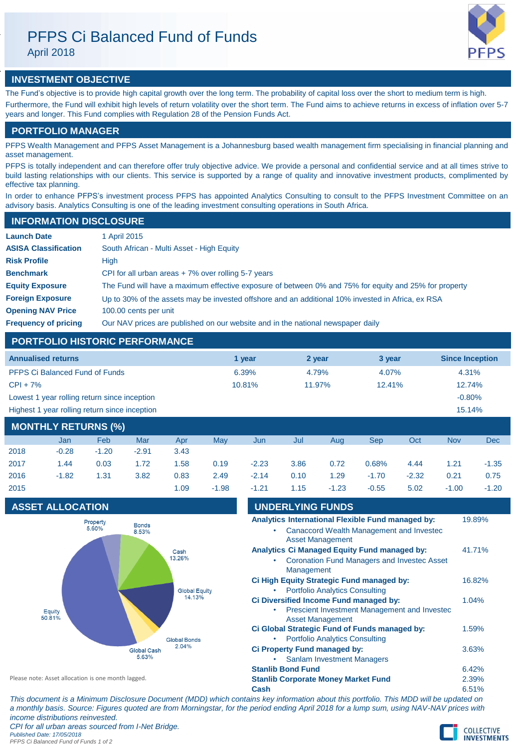April 2018



# **INVESTMENT OBJECTIVE**

The Fund's objective is to provide high capital growth over the long term. The probability of capital loss over the short to medium term is high. Furthermore, the Fund will exhibit high levels of return volatility over the short term. The Fund aims to achieve returns in excess of inflation over 5-7 years and longer. This Fund complies with Regulation 28 of the Pension Funds Act.

# **PORTFOLIO MANAGER**

PFPS Wealth Management and PFPS Asset Management is a Johannesburg based wealth management firm specialising in financial planning and asset management.

PFPS is totally independent and can therefore offer truly objective advice. We provide a personal and confidential service and at all times strive to build lasting relationships with our clients. This service is supported by a range of quality and innovative investment products, complimented by effective tax planning.

In order to enhance PFPS's investment process PFPS has appointed Analytics Consulting to consult to the PFPS Investment Committee on an advisory basis. Analytics Consulting is one of the leading investment consulting operations in South Africa.

## **INFORMATION DISCLOSURE**

| <b>Launch Date</b>          | 1 April 2015                                                                                          |
|-----------------------------|-------------------------------------------------------------------------------------------------------|
| <b>ASISA Classification</b> | South African - Multi Asset - High Equity                                                             |
| <b>Risk Profile</b>         | High                                                                                                  |
| <b>Benchmark</b>            | CPI for all urban areas $+7\%$ over rolling 5-7 years                                                 |
| <b>Equity Exposure</b>      | The Fund will have a maximum effective exposure of between 0% and 75% for equity and 25% for property |
| <b>Foreign Exposure</b>     | Up to 30% of the assets may be invested offshore and an additional 10% invested in Africa, ex RSA     |
| <b>Opening NAV Price</b>    | 100.00 cents per unit                                                                                 |
| <b>Frequency of pricing</b> | Our NAV prices are published on our website and in the national newspaper daily                       |

# **PORTFOLIO HISTORIC PERFORMANCE**

| <b>Annualised returns</b>                     | 1 vear | 2 year | 3 year | <b>Since Inception</b> |
|-----------------------------------------------|--------|--------|--------|------------------------|
| <b>PFPS Ci Balanced Fund of Funds</b>         | 6.39%  | 4.79%  | 4.07%  | 4.31%                  |
| $CPI + 7%$                                    | 10.81% | 11.97% | 12.41% | 12.74%                 |
| Lowest 1 year rolling return since inception  |        |        |        | $-0.80%$               |
| Highest 1 year rolling return since inception |        |        |        | 15.14%                 |
| <b>MANITULY BETUBMA (0/1)</b>                 |        |        |        |                        |

| <b>MONTHLY RETURNS (%)</b> |         |         |         |      |         |         |      |         |         |         |            |         |
|----------------------------|---------|---------|---------|------|---------|---------|------|---------|---------|---------|------------|---------|
|                            | Jan     | Feb     | Mar     | Apr  | Mav     | Jun     | Jul  | Aug     | Sep     | Oct     | <b>Nov</b> | Dec     |
| 2018                       | $-0.28$ | $-1.20$ | $-2.91$ | 3.43 |         |         |      |         |         |         |            |         |
| 2017                       | 1.44    | 0.03    | 1.72    | 1.58 | 0.19    | $-2.23$ | 3.86 | 0.72    | 0.68%   | 4.44    | 1.21       | $-1.35$ |
| 2016                       | $-1.82$ | 1.31    | 3.82    | 0.83 | 2.49    | $-2.14$ | 0.10 | 1.29    | $-1.70$ | $-2.32$ | 0.21       | 0.75    |
| 2015                       |         |         |         | 1.09 | $-1.98$ | $-1.21$ | 1.15 | $-1.23$ | $-0.55$ | 5.02    | $-1.00$    | $-1.20$ |

# **ASSET ALLOCATION**



| <b>UNDERLYING FUNDS</b>                                                 |        |  |  |
|-------------------------------------------------------------------------|--------|--|--|
| Analytics International Flexible Fund managed by:                       | 19.89% |  |  |
| Canaccord Wealth Management and Investec<br><b>Asset Management</b>     |        |  |  |
| Analytics Ci Managed Equity Fund managed by:                            | 41.71% |  |  |
| <b>Coronation Fund Managers and Investec Asset</b><br>Management        |        |  |  |
| Ci High Equity Strategic Fund managed by:                               | 16.82% |  |  |
| <b>Portfolio Analytics Consulting</b>                                   |        |  |  |
| Ci Diversified Income Fund managed by:                                  | 1.04%  |  |  |
| Prescient Investment Management and Investec<br><b>Asset Management</b> |        |  |  |
| Ci Global Strategic Fund of Funds managed by:                           | 1.59%  |  |  |
| <b>Portfolio Analytics Consulting</b>                                   |        |  |  |
| <b>Ci Property Fund managed by:</b>                                     | 3.63%  |  |  |
| <b>Sanlam Investment Managers</b>                                       |        |  |  |
| <b>Stanlib Bond Fund</b>                                                |        |  |  |
| <b>Stanlib Corporate Money Market Fund</b>                              |        |  |  |

Please note: Asset allocation is one month lagged.

**Cash** 6.51% *This document is a Minimum Disclosure Document (MDD) which contains key information about this portfolio. This MDD will be updated on a monthly basis. Source: Figures quoted are from Morningstar, for the period ending April 2018 for a lump sum, using NAV-NAV prices with income distributions reinvested. CPI for all urban areas sourced from I-Net Bridge.*

*Published Date: 17/05/2018*